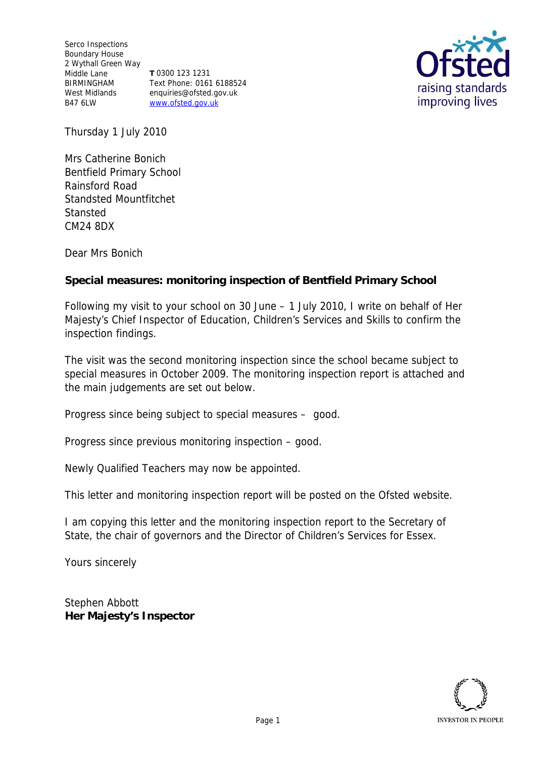Serco Inspections Boundary House 2 Wythall Green Way Middle Lane BIRMINGHAM West Midlands B47 6LW www.ofsted.gov.uk

**T** 0300 123 1231 Text Phone: 0161 6188524 enquiries@ofsted.gov.uk



Thursday 1 July 2010

Mrs Catherine Bonich Bentfield Primary School Rainsford Road Standsted Mountfitchet **Stansted** CM24 8DX

Dear Mrs Bonich

**Special measures: monitoring inspection of Bentfield Primary School**

Following my visit to your school on 30 June – 1 July 2010, I write on behalf of Her Majesty's Chief Inspector of Education, Children's Services and Skills to confirm the inspection findings.

The visit was the second monitoring inspection since the school became subject to special measures in October 2009. The monitoring inspection report is attached and the main judgements are set out below.

Progress since being subject to special measures – good.

Progress since previous monitoring inspection – good.

Newly Qualified Teachers may now be appointed.

This letter and monitoring inspection report will be posted on the Ofsted website.

I am copying this letter and the monitoring inspection report to the Secretary of State, the chair of governors and the Director of Children's Services for Essex.

Yours sincerely

Stephen Abbott **Her Majesty's Inspector**

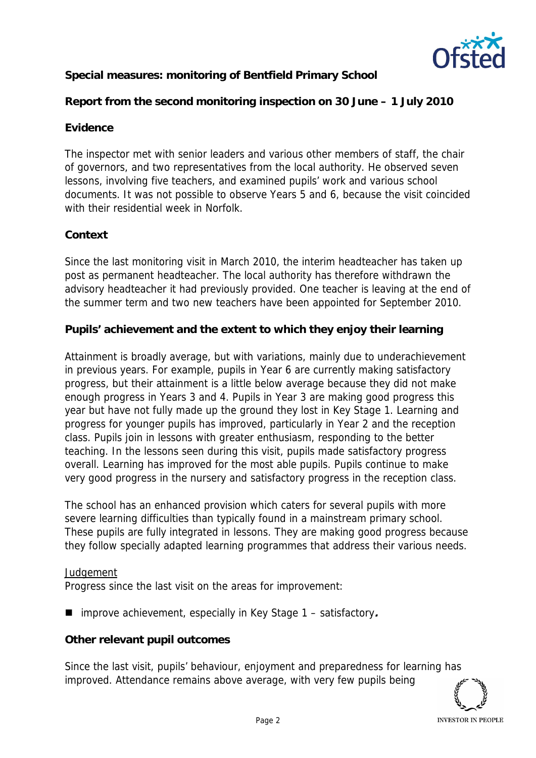

**Special measures: monitoring of Bentfield Primary School**

**Report from the second monitoring inspection on 30 June – 1 July 2010**

# **Evidence**

The inspector met with senior leaders and various other members of staff, the chair of governors, and two representatives from the local authority. He observed seven lessons, involving five teachers, and examined pupils' work and various school documents. It was not possible to observe Years 5 and 6, because the visit coincided with their residential week in Norfolk.

## **Context**

Since the last monitoring visit in March 2010, the interim headteacher has taken up post as permanent headteacher. The local authority has therefore withdrawn the advisory headteacher it had previously provided. One teacher is leaving at the end of the summer term and two new teachers have been appointed for September 2010.

**Pupils' achievement and the extent to which they enjoy their learning**

Attainment is broadly average, but with variations, mainly due to underachievement in previous years. For example, pupils in Year 6 are currently making satisfactory progress, but their attainment is a little below average because they did not make enough progress in Years 3 and 4. Pupils in Year 3 are making good progress this year but have not fully made up the ground they lost in Key Stage 1. Learning and progress for younger pupils has improved, particularly in Year 2 and the reception class. Pupils join in lessons with greater enthusiasm, responding to the better teaching. In the lessons seen during this visit, pupils made satisfactory progress overall. Learning has improved for the most able pupils. Pupils continue to make very good progress in the nursery and satisfactory progress in the reception class.

The school has an enhanced provision which caters for several pupils with more severe learning difficulties than typically found in a mainstream primary school. These pupils are fully integrated in lessons. They are making good progress because they follow specially adapted learning programmes that address their various needs.

### *Judgement*

Progress since the last visit on the areas for improvement:

■ improve achievement, especially in Key Stage 1 – satisfactory.

**Other relevant pupil outcomes**

Since the last visit, pupils' behaviour, enjoyment and preparedness for learning has improved. Attendance remains above average, with very few pupils being

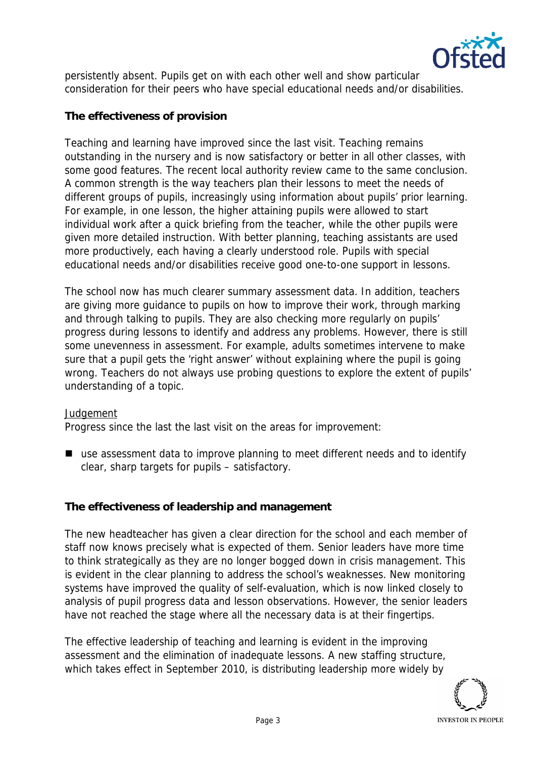

persistently absent. Pupils get on with each other well and show particular consideration for their peers who have special educational needs and/or disabilities.

# **The effectiveness of provision**

Teaching and learning have improved since the last visit. Teaching remains outstanding in the nursery and is now satisfactory or better in all other classes, with some good features. The recent local authority review came to the same conclusion. A common strength is the way teachers plan their lessons to meet the needs of different groups of pupils, increasingly using information about pupils' prior learning. For example, in one lesson, the higher attaining pupils were allowed to start individual work after a quick briefing from the teacher, while the other pupils were given more detailed instruction. With better planning, teaching assistants are used more productively, each having a clearly understood role. Pupils with special educational needs and/or disabilities receive good one-to-one support in lessons.

The school now has much clearer summary assessment data. In addition, teachers are giving more guidance to pupils on how to improve their work, through marking and through talking to pupils. They are also checking more regularly on pupils' progress during lessons to identify and address any problems. However, there is still some unevenness in assessment. For example, adults sometimes intervene to make sure that a pupil gets the 'right answer' without explaining where the pupil is going wrong. Teachers do not always use probing questions to explore the extent of pupils' understanding of a topic.

### *Judgement*

Progress since the last the last visit on the areas for improvement:

■ use assessment data to improve planning to meet different needs and to identify clear, sharp targets for pupils – satisfactory.

**The effectiveness of leadership and management**

The new headteacher has given a clear direction for the school and each member of staff now knows precisely what is expected of them. Senior leaders have more time to think strategically as they are no longer bogged down in crisis management. This is evident in the clear planning to address the school's weaknesses. New monitoring systems have improved the quality of self-evaluation, which is now linked closely to analysis of pupil progress data and lesson observations. However, the senior leaders have not reached the stage where all the necessary data is at their fingertips.

The effective leadership of teaching and learning is evident in the improving assessment and the elimination of inadequate lessons. A new staffing structure, which takes effect in September 2010, is distributing leadership more widely by